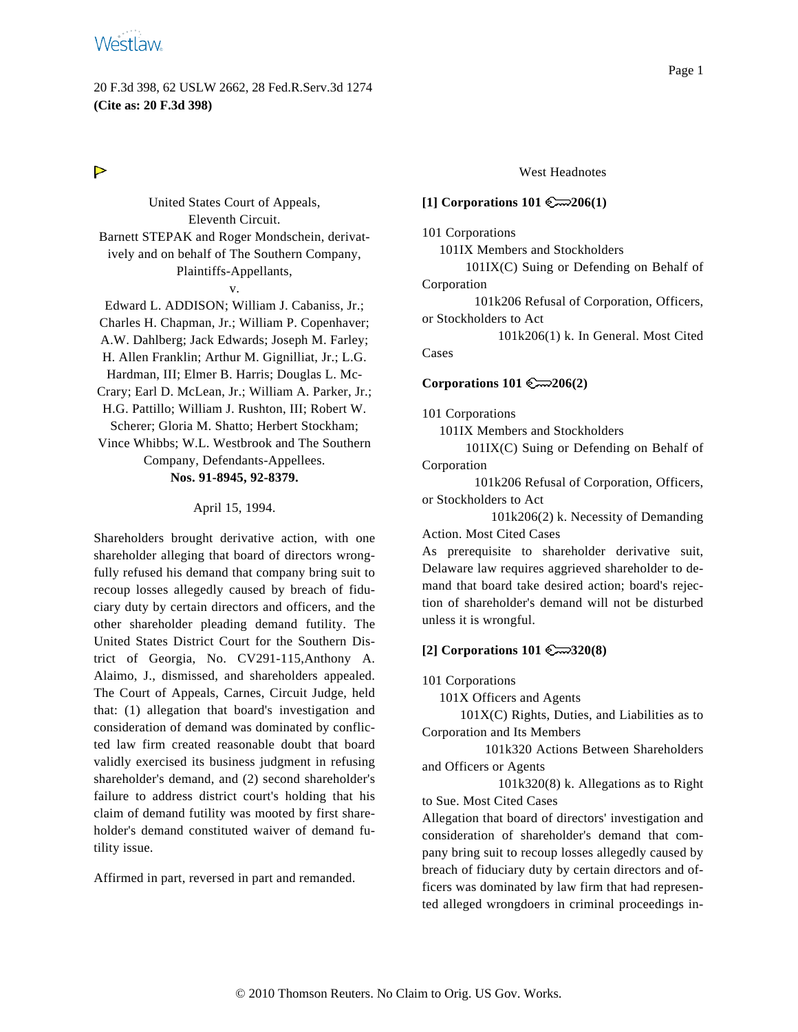20 F.3d 398, 62 USLW 2662, 28 Fed.R.Serv.3d 1274 **(Cite as: 20 F.3d 398)**

# $\triangleright$

United States Court of Appeals, Eleventh Circuit. Barnett STEPAK and Roger Mondschein, derivatively and on behalf of The Southern Company, Plaintiffs-Appellants, v.

Edward L. ADDISON; William J. Cabaniss, Jr.; Charles H. Chapman, Jr.; William P. Copenhaver; A.W. Dahlberg; Jack Edwards; Joseph M. Farley; H. Allen Franklin; Arthur M. Gignilliat, Jr.; L.G. Hardman, III; Elmer B. Harris; Douglas L. Mc-Crary; Earl D. McLean, Jr.; William A. Parker, Jr.; H.G. Pattillo; William J. Rushton, III; Robert W. Scherer; Gloria M. Shatto; Herbert Stockham; Vince Whibbs; W.L. Westbrook and The Southern Company, Defendants-Appellees. **Nos. 91-8945, 92-8379.**

#### April 15, 1994.

Shareholders brought derivative action, with one shareholder alleging that board of directors wrongfully refused his demand that company bring suit to recoup losses allegedly caused by breach of fiduciary duty by certain directors and officers, and the other shareholder pleading demand futility. The United States District Court for the Southern District of Georgia, No. CV291-115,Anthony A. Alaimo, J., dismissed, and shareholders appealed. The Court of Appeals, Carnes, Circuit Judge, held that: (1) allegation that board's investigation and consideration of demand was dominated by conflicted law firm created reasonable doubt that board validly exercised its business judgment in refusing shareholder's demand, and (2) second shareholder's failure to address district court's holding that his claim of demand futility was mooted by first shareholder's demand constituted waiver of demand futility issue.

Affirmed in part, reversed in part and remanded.

# Page 1

### West Headnotes

### **[1] Corporations 101 206(1)**

101 Corporations

101IX Members and Stockholders

101IX(C) Suing or Defending on Behalf of Corporation

101k206 Refusal of Corporation, Officers, or Stockholders to Act

101k206(1) k. In General. Most Cited Cases

#### **Corporations 101 206(2)**

101 Corporations

101IX Members and Stockholders

101IX(C) Suing or Defending on Behalf of Corporation

101k206 Refusal of Corporation, Officers, or Stockholders to Act

101k206(2) k. Necessity of Demanding Action. Most Cited Cases

As prerequisite to shareholder derivative suit, Delaware law requires aggrieved shareholder to demand that board take desired action; board's rejection of shareholder's demand will not be disturbed unless it is wrongful.

### **[2] Corporations 101 320(8)**

101 Corporations

101X Officers and Agents

101X(C) Rights, Duties, and Liabilities as to Corporation and Its Members

101k320 Actions Between Shareholders and Officers or Agents

101k320(8) k. Allegations as to Right to Sue. Most Cited Cases

Allegation that board of directors' investigation and consideration of shareholder's demand that company bring suit to recoup losses allegedly caused by breach of fiduciary duty by certain directors and officers was dominated by law firm that had represented alleged wrongdoers in criminal proceedings in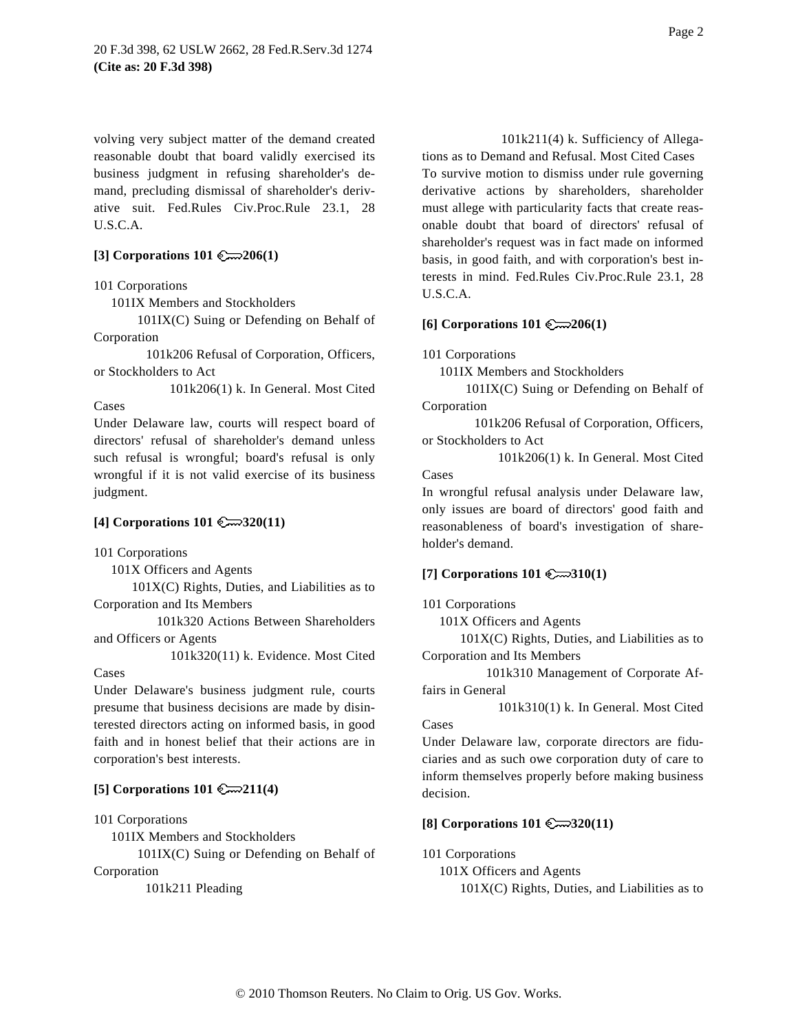volving very subject matter of the demand created reasonable doubt that board validly exercised its business judgment in refusing shareholder's demand, precluding dismissal of shareholder's derivative suit. Fed.Rules Civ.Proc.Rule 23.1, 28 U.S.C.A.

# **[3] Corporations 101 206(1)**

### 101 Corporations

101IX Members and Stockholders

101IX(C) Suing or Defending on Behalf of Corporation

101k206 Refusal of Corporation, Officers, or Stockholders to Act

101k206(1) k. In General. Most Cited

Under Delaware law, courts will respect board of directors' refusal of shareholder's demand unless such refusal is wrongful; board's refusal is only wrongful if it is not valid exercise of its business judgment.

### **[4] Corporations 101 320(11)**

101 Corporations

101X Officers and Agents

 $101X(C)$  Rights, Duties, and Liabilities as to Corporation and Its Members

101k320 Actions Between Shareholders and Officers or Agents

101k320(11) k. Evidence. Most Cited

Cases

Cases

Under Delaware's business judgment rule, courts presume that business decisions are made by disinterested directors acting on informed basis, in good faith and in honest belief that their actions are in corporation's best interests.

### **[5] Corporations 101 211(4)**

101 Corporations

101IX Members and Stockholders

101IX(C) Suing or Defending on Behalf of

Corporation

101k211 Pleading

tions as to Demand and Refusal. Most Cited Cases To survive motion to dismiss under rule governing derivative actions by shareholders, shareholder must allege with particularity facts that create reasonable doubt that board of directors' refusal of shareholder's request was in fact made on informed basis, in good faith, and with corporation's best interests in mind. Fed.Rules Civ.Proc.Rule 23.1, 28 U.S.C.A.

#### **[6] Corporations 101 206(1)**

101 Corporations

101IX Members and Stockholders

101IX(C) Suing or Defending on Behalf of Corporation

101k206 Refusal of Corporation, Officers, or Stockholders to Act

101k206(1) k. In General. Most Cited Cases

In wrongful refusal analysis under Delaware law, only issues are board of directors' good faith and reasonableness of board's investigation of shareholder's demand.

### **[7] Corporations 101 310(1)**

101 Corporations

101X Officers and Agents

 $101X(C)$  Rights, Duties, and Liabilities as to Corporation and Its Members

101k310 Management of Corporate Affairs in General

101k310(1) k. In General. Most Cited Cases

Under Delaware law, corporate directors are fiduciaries and as such owe corporation duty of care to inform themselves properly before making business decision.

#### **[8] Corporations 101 320(11)**

101 Corporations

101X Officers and Agents  $101X(C)$  Rights, Duties, and Liabilities as to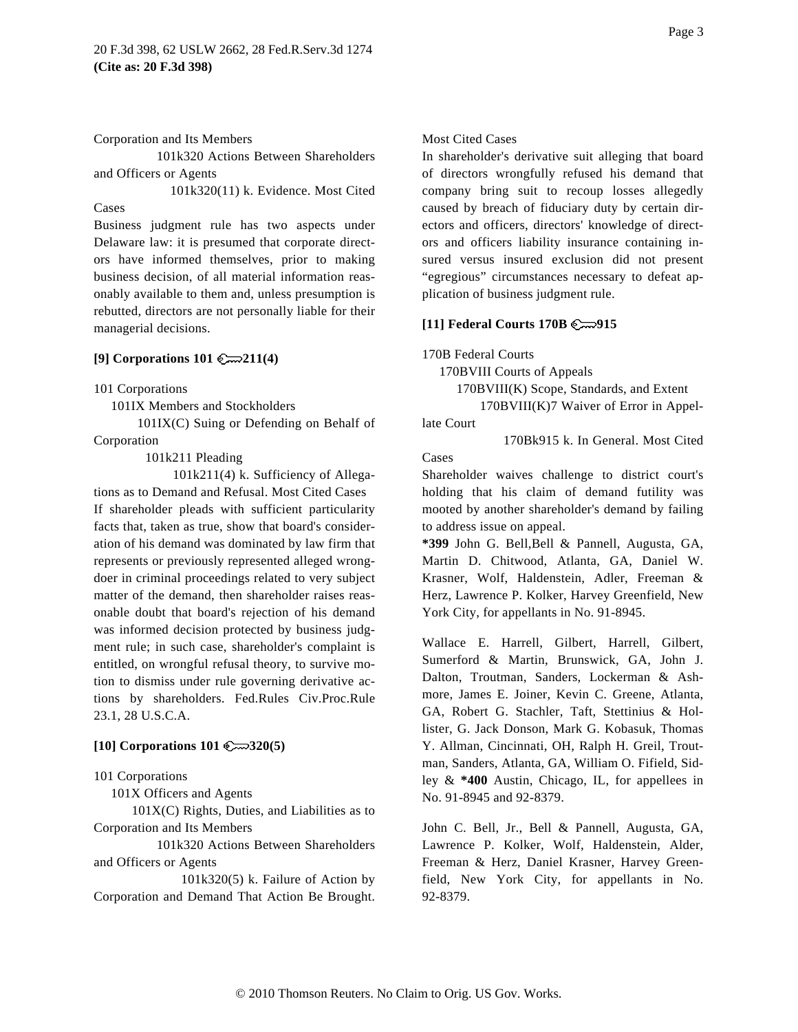#### Corporation and Its Members

101k320 Actions Between Shareholders and Officers or Agents

101k320(11) k. Evidence. Most Cited Cases

Business judgment rule has two aspects under Delaware law: it is presumed that corporate directors have informed themselves, prior to making business decision, of all material information reasonably available to them and, unless presumption is rebutted, directors are not personally liable for their managerial decisions.

# **[9] Corporations 101 211(4)**

101 Corporations

101IX Members and Stockholders

101IX(C) Suing or Defending on Behalf of Corporation

101k211 Pleading

101k211(4) k. Sufficiency of Allega-

tions as to Demand and Refusal. Most Cited Cases If shareholder pleads with sufficient particularity facts that, taken as true, show that board's consideration of his demand was dominated by law firm that represents or previously represented alleged wrongdoer in criminal proceedings related to very subject matter of the demand, then shareholder raises reasonable doubt that board's rejection of his demand was informed decision protected by business judgment rule; in such case, shareholder's complaint is entitled, on wrongful refusal theory, to survive motion to dismiss under rule governing derivative actions by shareholders. Fed.Rules Civ.Proc.Rule 23.1, 28 U.S.C.A.

### **[10] Corporations 101 320(5)**

101 Corporations

101X Officers and Agents

 $101X(C)$  Rights, Duties, and Liabilities as to Corporation and Its Members

101k320 Actions Between Shareholders and Officers or Agents

101k320(5) k. Failure of Action by Corporation and Demand That Action Be Brought.

### Most Cited Cases

In shareholder's derivative suit alleging that board of directors wrongfully refused his demand that company bring suit to recoup losses allegedly caused by breach of fiduciary duty by certain directors and officers, directors' knowledge of directors and officers liability insurance containing insured versus insured exclusion did not present "egregious" circumstances necessary to defeat application of business judgment rule.

### **[11] Federal Courts 170B 915**

170B Federal Courts

170BVIII Courts of Appeals

170BVIII(K) Scope, Standards, and Extent

170BVIII(K)7 Waiver of Error in Appellate Court

170Bk915 k. In General. Most Cited

#### Cases

Shareholder waives challenge to district court's holding that his claim of demand futility was mooted by another shareholder's demand by failing to address issue on appeal.

**\*399** John G. Bell,Bell & Pannell, Augusta, GA, Martin D. Chitwood, Atlanta, GA, Daniel W. Krasner, Wolf, Haldenstein, Adler, Freeman & Herz, Lawrence P. Kolker, Harvey Greenfield, New York City, for appellants in No. 91-8945.

Wallace E. Harrell, Gilbert, Harrell, Gilbert, Sumerford & Martin, Brunswick, GA, John J. Dalton, Troutman, Sanders, Lockerman & Ashmore, James E. Joiner, Kevin C. Greene, Atlanta, GA, Robert G. Stachler, Taft, Stettinius & Hollister, G. Jack Donson, Mark G. Kobasuk, Thomas Y. Allman, Cincinnati, OH, Ralph H. Greil, Troutman, Sanders, Atlanta, GA, William O. Fifield, Sidley & **\*400** Austin, Chicago, IL, for appellees in No. 91-8945 and 92-8379.

John C. Bell, Jr., Bell & Pannell, Augusta, GA, Lawrence P. Kolker, Wolf, Haldenstein, Alder, Freeman & Herz, Daniel Krasner, Harvey Greenfield, New York City, for appellants in No. 92-8379.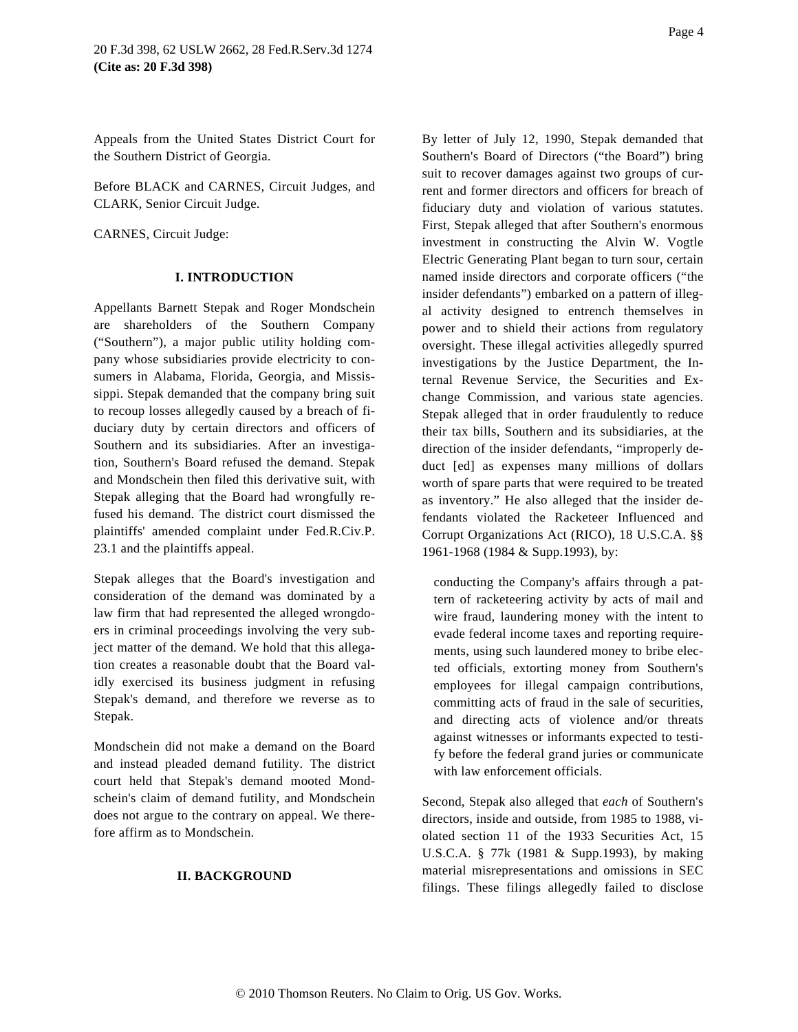Appeals from the United States District Court for the Southern District of Georgia.

Before BLACK and CARNES, Circuit Judges, and CLARK, Senior Circuit Judge.

CARNES, Circuit Judge:

#### **I. INTRODUCTION**

Appellants Barnett Stepak and Roger Mondschein are shareholders of the Southern Company ("Southern"), a major public utility holding company whose subsidiaries provide electricity to consumers in Alabama, Florida, Georgia, and Mississippi. Stepak demanded that the company bring suit to recoup losses allegedly caused by a breach of fiduciary duty by certain directors and officers of Southern and its subsidiaries. After an investigation, Southern's Board refused the demand. Stepak and Mondschein then filed this derivative suit, with Stepak alleging that the Board had wrongfully refused his demand. The district court dismissed the plaintiffs' amended complaint under Fed.R.Civ.P. 23.1 and the plaintiffs appeal.

Stepak alleges that the Board's investigation and consideration of the demand was dominated by a law firm that had represented the alleged wrongdoers in criminal proceedings involving the very subject matter of the demand. We hold that this allegation creates a reasonable doubt that the Board validly exercised its business judgment in refusing Stepak's demand, and therefore we reverse as to Stepak.

Mondschein did not make a demand on the Board and instead pleaded demand futility. The district court held that Stepak's demand mooted Mondschein's claim of demand futility, and Mondschein does not argue to the contrary on appeal. We therefore affirm as to Mondschein.

### **II. BACKGROUND**

Page 4

By letter of July 12, 1990, Stepak demanded that Southern's Board of Directors ("the Board") bring suit to recover damages against two groups of current and former directors and officers for breach of fiduciary duty and violation of various statutes. First, Stepak alleged that after Southern's enormous investment in constructing the Alvin W. Vogtle Electric Generating Plant began to turn sour, certain named inside directors and corporate officers ("the insider defendants") embarked on a pattern of illegal activity designed to entrench themselves in power and to shield their actions from regulatory oversight. These illegal activities allegedly spurred investigations by the Justice Department, the Internal Revenue Service, the Securities and Exchange Commission, and various state agencies. Stepak alleged that in order fraudulently to reduce their tax bills, Southern and its subsidiaries, at the direction of the insider defendants, "improperly deduct [ed] as expenses many millions of dollars worth of spare parts that were required to be treated as inventory." He also alleged that the insider defendants violated the Racketeer Influenced and Corrupt Organizations Act (RICO), 18 U.S.C.A. §§ 1961-1968 (1984 & Supp.1993), by:

conducting the Company's affairs through a pattern of racketeering activity by acts of mail and wire fraud, laundering money with the intent to evade federal income taxes and reporting requirements, using such laundered money to bribe elected officials, extorting money from Southern's employees for illegal campaign contributions, committing acts of fraud in the sale of securities, and directing acts of violence and/or threats against witnesses or informants expected to testify before the federal grand juries or communicate with law enforcement officials.

Second, Stepak also alleged that *each* of Southern's directors, inside and outside, from 1985 to 1988, violated section 11 of the 1933 Securities Act, 15 U.S.C.A. § 77k (1981 & Supp.1993), by making material misrepresentations and omissions in SEC filings. These filings allegedly failed to disclose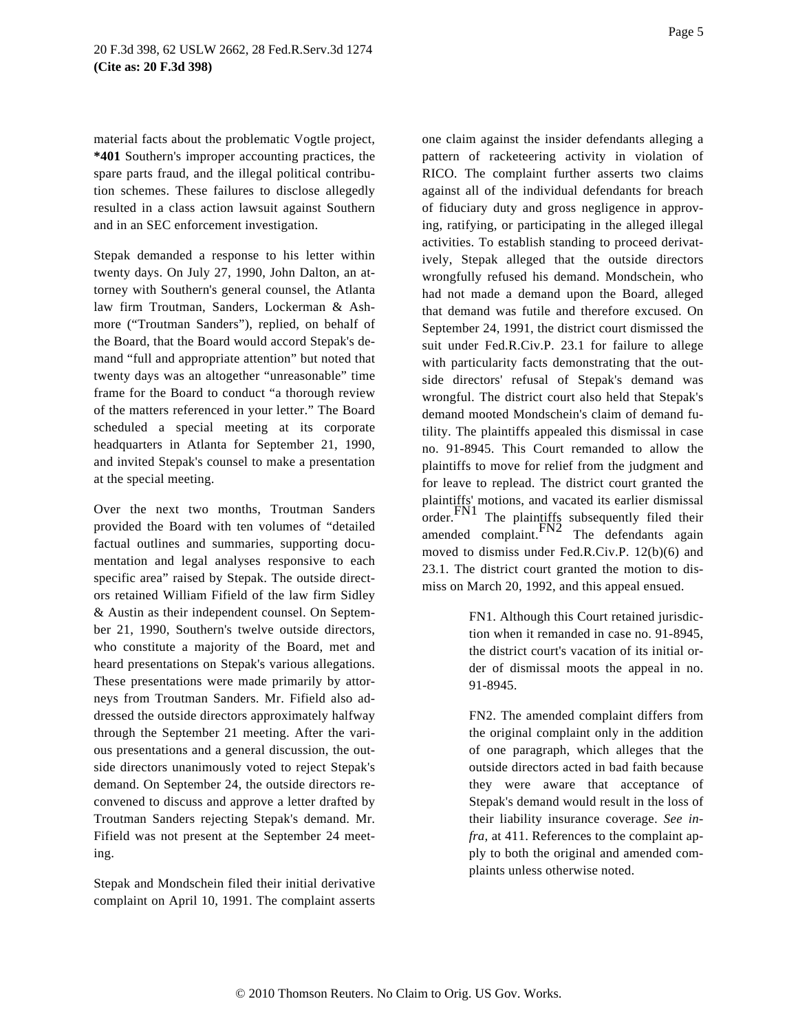material facts about the problematic Vogtle project, **\*401** Southern's improper accounting practices, the spare parts fraud, and the illegal political contribution schemes. These failures to disclose allegedly resulted in a class action lawsuit against Southern and in an SEC enforcement investigation.

Stepak demanded a response to his letter within twenty days. On July 27, 1990, John Dalton, an attorney with Southern's general counsel, the Atlanta law firm Troutman, Sanders, Lockerman & Ashmore ("Troutman Sanders"), replied, on behalf of the Board, that the Board would accord Stepak's demand "full and appropriate attention" but noted that twenty days was an altogether "unreasonable" time frame for the Board to conduct "a thorough review of the matters referenced in your letter." The Board scheduled a special meeting at its corporate headquarters in Atlanta for September 21, 1990, and invited Stepak's counsel to make a presentation at the special meeting.

Over the next two months, Troutman Sanders provided the Board with ten volumes of "detailed factual outlines and summaries, supporting documentation and legal analyses responsive to each specific area" raised by Stepak. The outside directors retained William Fifield of the law firm Sidley & Austin as their independent counsel. On September 21, 1990, Southern's twelve outside directors, who constitute a majority of the Board, met and heard presentations on Stepak's various allegations. These presentations were made primarily by attorneys from Troutman Sanders. Mr. Fifield also addressed the outside directors approximately halfway through the September 21 meeting. After the various presentations and a general discussion, the outside directors unanimously voted to reject Stepak's demand. On September 24, the outside directors reconvened to discuss and approve a letter drafted by Troutman Sanders rejecting Stepak's demand. Mr. Fifield was not present at the September 24 meeting.

Stepak and Mondschein filed their initial derivative complaint on April 10, 1991. The complaint asserts

one claim against the insider defendants alleging a pattern of racketeering activity in violation of RICO. The complaint further asserts two claims against all of the individual defendants for breach of fiduciary duty and gross negligence in approving, ratifying, or participating in the alleged illegal activities. To establish standing to proceed derivatively, Stepak alleged that the outside directors wrongfully refused his demand. Mondschein, who had not made a demand upon the Board, alleged that demand was futile and therefore excused. On September 24, 1991, the district court dismissed the suit under Fed.R.Civ.P. 23.1 for failure to allege with particularity facts demonstrating that the outside directors' refusal of Stepak's demand was wrongful. The district court also held that Stepak's demand mooted Mondschein's claim of demand futility. The plaintiffs appealed this dismissal in case no. 91-8945. This Court remanded to allow the plaintiffs to move for relief from the judgment and for leave to replead. The district court granted the plaintiffs' motions, and vacated its earlier dismissal<br>order. The plaintiffs subsequently filed their amended complaint. FN2 The defendants again moved to dismiss under Fed.R.Civ.P. 12(b)(6) and

> FN1. Although this Court retained jurisdiction when it remanded in case no. 91-8945, the district court's vacation of its initial order of dismissal moots the appeal in no. 91-8945.

23.1. The district court granted the motion to dismiss on March 20, 1992, and this appeal ensued.

> FN2. The amended complaint differs from the original complaint only in the addition of one paragraph, which alleges that the outside directors acted in bad faith because they were aware that acceptance of Stepak's demand would result in the loss of their liability insurance coverage. *See infra,* at 411. References to the complaint apply to both the original and amended complaints unless otherwise noted.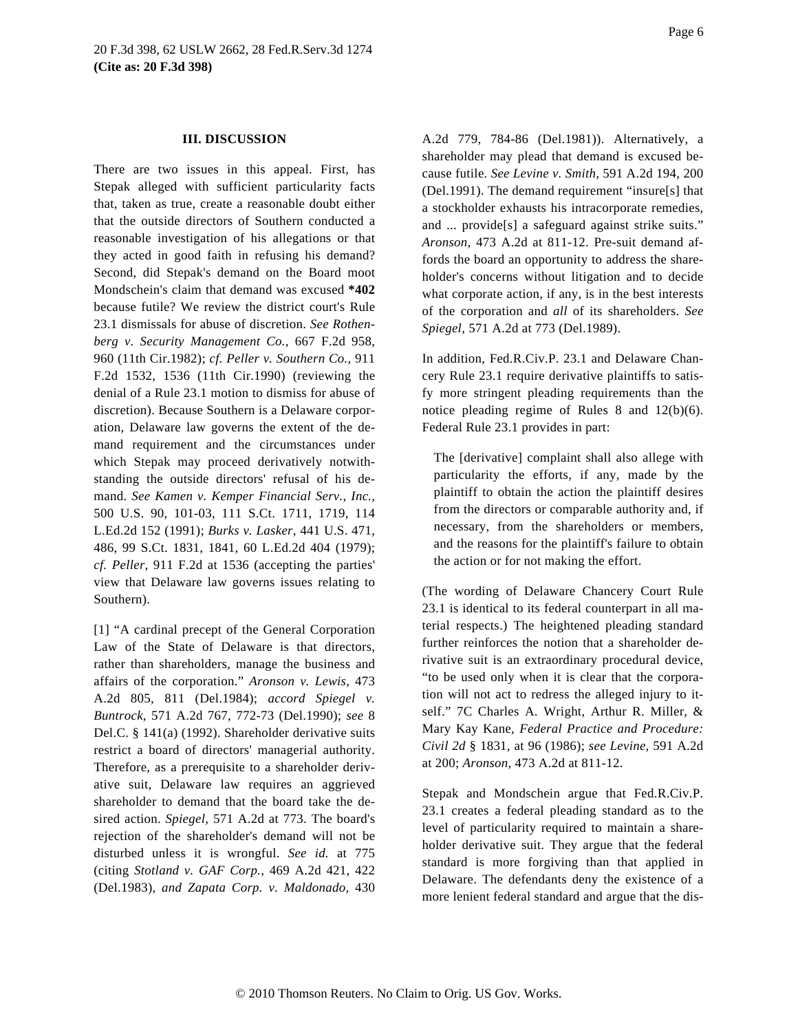#### **III. DISCUSSION**

There are two issues in this appeal. First, has Stepak alleged with sufficient particularity facts that, taken as true, create a reasonable doubt either that the outside directors of Southern conducted a reasonable investigation of his allegations or that they acted in good faith in refusing his demand? Second, did Stepak's demand on the Board moot Mondschein's claim that demand was excused **\*402** because futile? We review the district court's Rule 23.1 dismissals for abuse of discretion. *See Rothenberg v. Security Management Co.,* 667 F.2d 958, 960 (11th Cir.1982); *cf. Peller v. Southern Co.,* 911 F.2d 1532, 1536 (11th Cir.1990) (reviewing the denial of a Rule 23.1 motion to dismiss for abuse of discretion). Because Southern is a Delaware corporation, Delaware law governs the extent of the demand requirement and the circumstances under which Stepak may proceed derivatively notwithstanding the outside directors' refusal of his demand. *See Kamen v. Kemper Financial Serv., Inc.,* 500 U.S. 90, 101-03, 111 S.Ct. 1711, 1719, 114 L.Ed.2d 152 (1991); *Burks v. Lasker,* 441 U.S. 471, 486, 99 S.Ct. 1831, 1841, 60 L.Ed.2d 404 (1979); *cf. Peller,* 911 F.2d at 1536 (accepting the parties' view that Delaware law governs issues relating to Southern).

[1] "A cardinal precept of the General Corporation Law of the State of Delaware is that directors, rather than shareholders, manage the business and affairs of the corporation." *Aronson v. Lewis,* 473 A.2d 805, 811 (Del.1984); *accord Spiegel v. Buntrock,* 571 A.2d 767, 772-73 (Del.1990); *see* 8 Del.C. § 141(a) (1992). Shareholder derivative suits restrict a board of directors' managerial authority. Therefore, as a prerequisite to a shareholder derivative suit, Delaware law requires an aggrieved shareholder to demand that the board take the desired action. *Spiegel,* 571 A.2d at 773. The board's rejection of the shareholder's demand will not be disturbed unless it is wrongful. *See id.* at 775 (citing *Stotland v. GAF Corp.,* 469 A.2d 421, 422 (Del.1983), *and Zapata Corp. v. Maldonado,* 430

A.2d 779, 784-86 (Del.1981)). Alternatively, a shareholder may plead that demand is excused because futile. *See Levine v. Smith,* 591 A.2d 194, 200 (Del.1991). The demand requirement "insure[s] that a stockholder exhausts his intracorporate remedies, and ... provide[s] a safeguard against strike suits." *Aronson,* 473 A.2d at 811-12. Pre-suit demand affords the board an opportunity to address the shareholder's concerns without litigation and to decide what corporate action, if any, is in the best interests of the corporation and *all* of its shareholders. *See Spiegel,* 571 A.2d at 773 (Del.1989).

In addition, Fed.R.Civ.P. 23.1 and Delaware Chancery Rule 23.1 require derivative plaintiffs to satisfy more stringent pleading requirements than the notice pleading regime of Rules 8 and 12(b)(6). Federal Rule 23.1 provides in part:

The [derivative] complaint shall also allege with particularity the efforts, if any, made by the plaintiff to obtain the action the plaintiff desires from the directors or comparable authority and, if necessary, from the shareholders or members, and the reasons for the plaintiff's failure to obtain the action or for not making the effort.

(The wording of Delaware Chancery Court Rule 23.1 is identical to its federal counterpart in all material respects.) The heightened pleading standard further reinforces the notion that a shareholder derivative suit is an extraordinary procedural device, "to be used only when it is clear that the corporation will not act to redress the alleged injury to itself." 7C Charles A. Wright, Arthur R. Miller, & Mary Kay Kane, *Federal Practice and Procedure: Civil 2d* § 1831, at 96 (1986); *see Levine,* 591 A.2d at 200; *Aronson,* 473 A.2d at 811-12.

Stepak and Mondschein argue that Fed.R.Civ.P. 23.1 creates a federal pleading standard as to the level of particularity required to maintain a shareholder derivative suit. They argue that the federal standard is more forgiving than that applied in Delaware. The defendants deny the existence of a more lenient federal standard and argue that the dis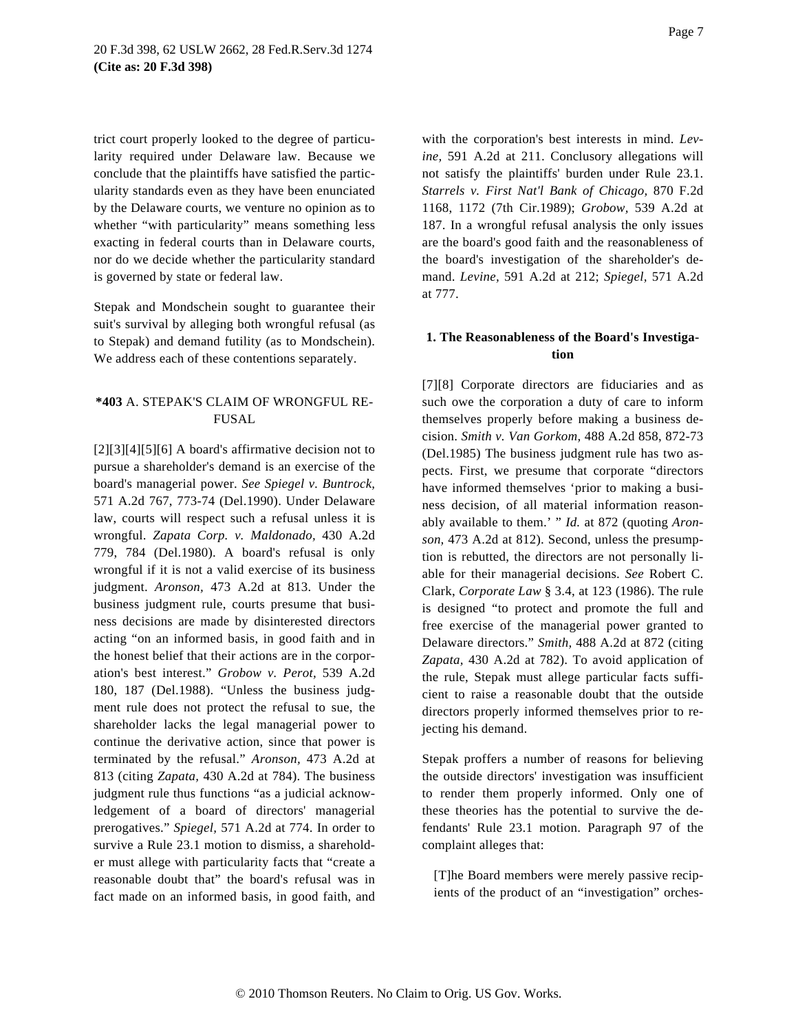trict court properly looked to the degree of particularity required under Delaware law. Because we conclude that the plaintiffs have satisfied the particularity standards even as they have been enunciated by the Delaware courts, we venture no opinion as to whether "with particularity" means something less exacting in federal courts than in Delaware courts, nor do we decide whether the particularity standard is governed by state or federal law.

Stepak and Mondschein sought to guarantee their suit's survival by alleging both wrongful refusal (as to Stepak) and demand futility (as to Mondschein). We address each of these contentions separately.

# **\*403** A. STEPAK'S CLAIM OF WRONGFUL RE-FUSAL

 $[2][3][4][5][6]$  A board's affirmative decision not to pursue a shareholder's demand is an exercise of the board's managerial power. *See Spiegel v. Buntrock,* 571 A.2d 767, 773-74 (Del.1990). Under Delaware law, courts will respect such a refusal unless it is wrongful. *Zapata Corp. v. Maldonado,* 430 A.2d 779, 784 (Del.1980). A board's refusal is only wrongful if it is not a valid exercise of its business judgment. *Aronson,* 473 A.2d at 813. Under the business judgment rule, courts presume that business decisions are made by disinterested directors acting "on an informed basis, in good faith and in the honest belief that their actions are in the corporation's best interest." *Grobow v. Perot,* 539 A.2d 180, 187 (Del.1988). "Unless the business judgment rule does not protect the refusal to sue, the shareholder lacks the legal managerial power to continue the derivative action, since that power is terminated by the refusal." *Aronson,* 473 A.2d at 813 (citing *Zapata,* 430 A.2d at 784). The business judgment rule thus functions "as a judicial acknowledgement of a board of directors' managerial prerogatives." *Spiegel,* 571 A.2d at 774. In order to survive a Rule 23.1 motion to dismiss, a shareholder must allege with particularity facts that "create a reasonable doubt that" the board's refusal was in fact made on an informed basis, in good faith, and with the corporation's best interests in mind. *Levine,* 591 A.2d at 211. Conclusory allegations will not satisfy the plaintiffs' burden under Rule 23.1. *Starrels v. First Nat'l Bank of Chicago,* 870 F.2d 1168, 1172 (7th Cir.1989); *Grobow,* 539 A.2d at 187. In a wrongful refusal analysis the only issues are the board's good faith and the reasonableness of the board's investigation of the shareholder's demand. *Levine,* 591 A.2d at 212; *Spiegel,* 571 A.2d at 777.

# **1. The Reasonableness of the Board's Investigation**

[7][8] Corporate directors are fiduciaries and as such owe the corporation a duty of care to inform themselves properly before making a business decision. *Smith v. Van Gorkom,* 488 A.2d 858, 872-73 (Del.1985) The business judgment rule has two aspects. First, we presume that corporate "directors have informed themselves 'prior to making a business decision, of all material information reasonably available to them.' " *Id.* at 872 (quoting *Aronson,* 473 A.2d at 812). Second, unless the presumption is rebutted, the directors are not personally liable for their managerial decisions. *See* Robert C. Clark, *Corporate Law* § 3.4, at 123 (1986). The rule is designed "to protect and promote the full and free exercise of the managerial power granted to Delaware directors." *Smith,* 488 A.2d at 872 (citing *Zapata,* 430 A.2d at 782). To avoid application of the rule, Stepak must allege particular facts sufficient to raise a reasonable doubt that the outside directors properly informed themselves prior to rejecting his demand.

Stepak proffers a number of reasons for believing the outside directors' investigation was insufficient to render them properly informed. Only one of these theories has the potential to survive the defendants' Rule 23.1 motion. Paragraph 97 of the complaint alleges that:

[T]he Board members were merely passive recipients of the product of an "investigation" orches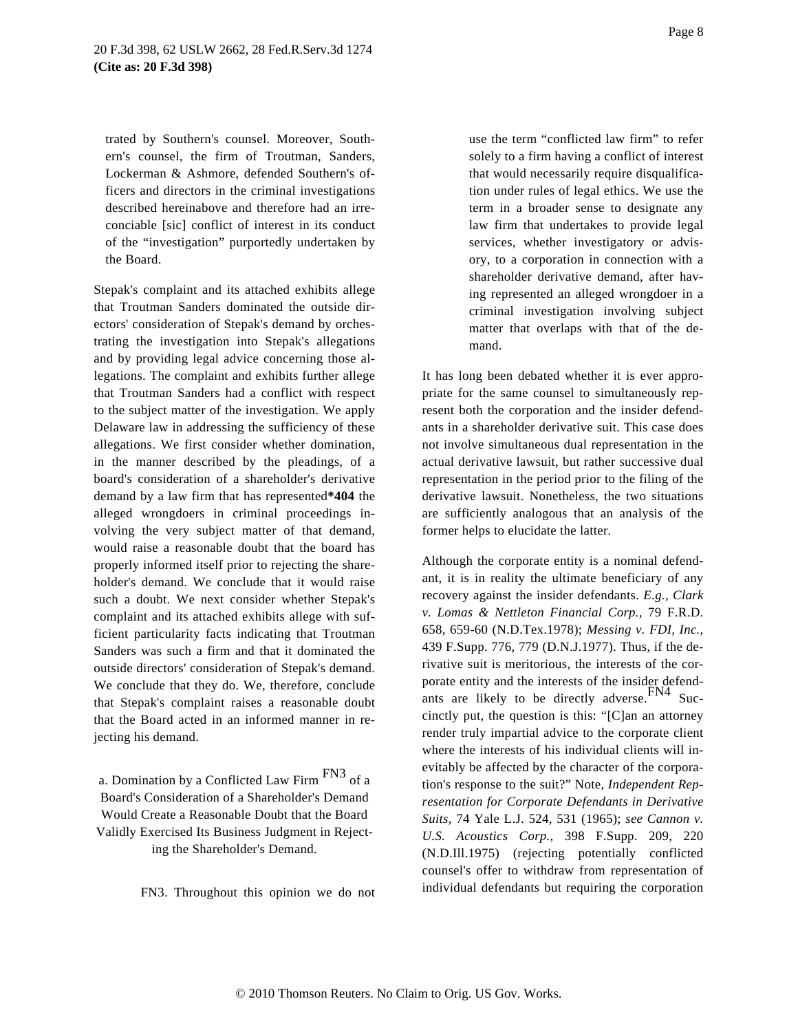trated by Southern's counsel. Moreover, Southern's counsel, the firm of Troutman, Sanders, Lockerman & Ashmore, defended Southern's officers and directors in the criminal investigations described hereinabove and therefore had an irreconciable [sic] conflict of interest in its conduct of the "investigation" purportedly undertaken by the Board.

Stepak's complaint and its attached exhibits allege that Troutman Sanders dominated the outside directors' consideration of Stepak's demand by orchestrating the investigation into Stepak's allegations and by providing legal advice concerning those allegations. The complaint and exhibits further allege that Troutman Sanders had a conflict with respect to the subject matter of the investigation. We apply Delaware law in addressing the sufficiency of these allegations. We first consider whether domination, in the manner described by the pleadings, of a board's consideration of a shareholder's derivative demand by a law firm that has represented**\*404** the alleged wrongdoers in criminal proceedings involving the very subject matter of that demand, would raise a reasonable doubt that the board has properly informed itself prior to rejecting the shareholder's demand. We conclude that it would raise such a doubt. We next consider whether Stepak's complaint and its attached exhibits allege with sufficient particularity facts indicating that Troutman Sanders was such a firm and that it dominated the outside directors' consideration of Stepak's demand. We conclude that they do. We, therefore, conclude that Stepak's complaint raises a reasonable doubt that the Board acted in an informed manner in rejecting his demand.

a. Domination by a Conflicted Law Firm FN3 of a Board's Consideration of a Shareholder's Demand Would Create a Reasonable Doubt that the Board Validly Exercised Its Business Judgment in Rejecting the Shareholder's Demand.

FN3. Throughout this opinion we do not

use the term "conflicted law firm" to refer solely to a firm having a conflict of interest that would necessarily require disqualification under rules of legal ethics. We use the term in a broader sense to designate any law firm that undertakes to provide legal services, whether investigatory or advisory, to a corporation in connection with a shareholder derivative demand, after having represented an alleged wrongdoer in a criminal investigation involving subject matter that overlaps with that of the demand.

It has long been debated whether it is ever appropriate for the same counsel to simultaneously represent both the corporation and the insider defendants in a shareholder derivative suit. This case does not involve simultaneous dual representation in the actual derivative lawsuit, but rather successive dual representation in the period prior to the filing of the derivative lawsuit. Nonetheless, the two situations are sufficiently analogous that an analysis of the former helps to elucidate the latter.

Although the corporate entity is a nominal defendant, it is in reality the ultimate beneficiary of any recovery against the insider defendants. *E.g., Clark v. Lomas & Nettleton Financial Corp.,* 79 F.R.D. 658, 659-60 (N.D.Tex.1978); *Messing v. FDI, Inc.,* 439 F.Supp. 776, 779 (D.N.J.1977). Thus, if the derivative suit is meritorious, the interests of the corporate entity and the interests of the insider defendants are likely to be directly adverse. FN4 Succinctly put, the question is this: "[C]an an attorney render truly impartial advice to the corporate client where the interests of his individual clients will inevitably be affected by the character of the corporation's response to the suit?" Note, *Independent Representation for Corporate Defendants in Derivative Suits,* 74 Yale L.J. 524, 531 (1965); *see Cannon v. U.S. Acoustics Corp.,* 398 F.Supp. 209, 220 (N.D.Ill.1975) (rejecting potentially conflicted counsel's offer to withdraw from representation of individual defendants but requiring the corporation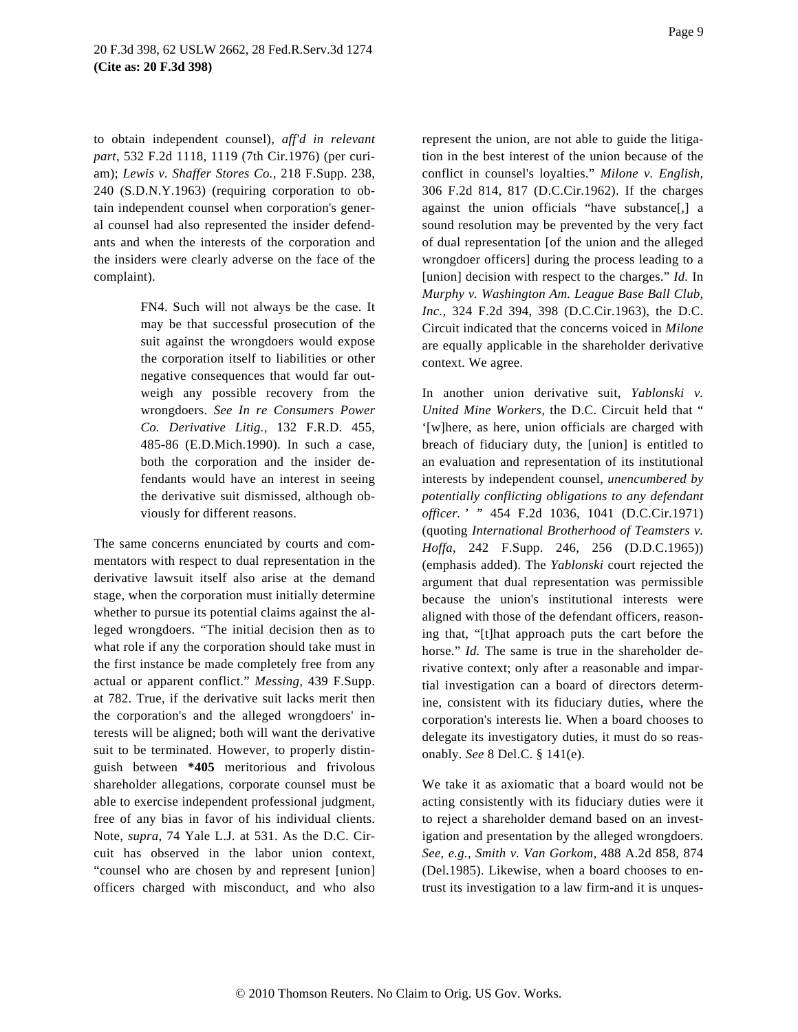to obtain independent counsel), *aff'd in relevant part,* 532 F.2d 1118, 1119 (7th Cir.1976) (per curiam); *Lewis v. Shaffer Stores Co.,* 218 F.Supp. 238, 240 (S.D.N.Y.1963) (requiring corporation to obtain independent counsel when corporation's general counsel had also represented the insider defendants and when the interests of the corporation and the insiders were clearly adverse on the face of the complaint).

> FN4. Such will not always be the case. It may be that successful prosecution of the suit against the wrongdoers would expose the corporation itself to liabilities or other negative consequences that would far outweigh any possible recovery from the wrongdoers. *See In re Consumers Power Co. Derivative Litig.,* 132 F.R.D. 455, 485-86 (E.D.Mich.1990). In such a case, both the corporation and the insider defendants would have an interest in seeing the derivative suit dismissed, although obviously for different reasons.

The same concerns enunciated by courts and commentators with respect to dual representation in the derivative lawsuit itself also arise at the demand stage, when the corporation must initially determine whether to pursue its potential claims against the alleged wrongdoers. "The initial decision then as to what role if any the corporation should take must in the first instance be made completely free from any actual or apparent conflict." *Messing,* 439 F.Supp. at 782. True, if the derivative suit lacks merit then the corporation's and the alleged wrongdoers' interests will be aligned; both will want the derivative suit to be terminated. However, to properly distinguish between **\*405** meritorious and frivolous shareholder allegations, corporate counsel must be able to exercise independent professional judgment, free of any bias in favor of his individual clients. Note, *supra,* 74 Yale L.J. at 531. As the D.C. Circuit has observed in the labor union context, "counsel who are chosen by and represent [union] officers charged with misconduct, and who also

represent the union, are not able to guide the litigation in the best interest of the union because of the conflict in counsel's loyalties." *Milone v. English,* 306 F.2d 814, 817 (D.C.Cir.1962). If the charges against the union officials "have substance[,] a sound resolution may be prevented by the very fact of dual representation [of the union and the alleged wrongdoer officers] during the process leading to a [union] decision with respect to the charges." *Id.* In *Murphy v. Washington Am. League Base Ball Club, Inc.,* 324 F.2d 394, 398 (D.C.Cir.1963), the D.C. Circuit indicated that the concerns voiced in *Milone* are equally applicable in the shareholder derivative context. We agree.

In another union derivative suit, *Yablonski v. United Mine Workers,* the D.C. Circuit held that " '[w]here, as here, union officials are charged with breach of fiduciary duty, the [union] is entitled to an evaluation and representation of its institutional interests by independent counsel, *unencumbered by potentially conflicting obligations to any defendant officer.* ' " 454 F.2d 1036, 1041 (D.C.Cir.1971) (quoting *International Brotherhood of Teamsters v. Hoffa,* 242 F.Supp. 246, 256 (D.D.C.1965)) (emphasis added). The *Yablonski* court rejected the argument that dual representation was permissible because the union's institutional interests were aligned with those of the defendant officers, reasoning that, "[t]hat approach puts the cart before the horse." *Id*. The same is true in the shareholder derivative context; only after a reasonable and impartial investigation can a board of directors determine, consistent with its fiduciary duties, where the corporation's interests lie. When a board chooses to delegate its investigatory duties, it must do so reasonably. *See* 8 Del.C. § 141(e).

We take it as axiomatic that a board would not be acting consistently with its fiduciary duties were it to reject a shareholder demand based on an investigation and presentation by the alleged wrongdoers. *See, e.g., Smith v. Van Gorkom,* 488 A.2d 858, 874 (Del.1985). Likewise, when a board chooses to entrust its investigation to a law firm-and it is unques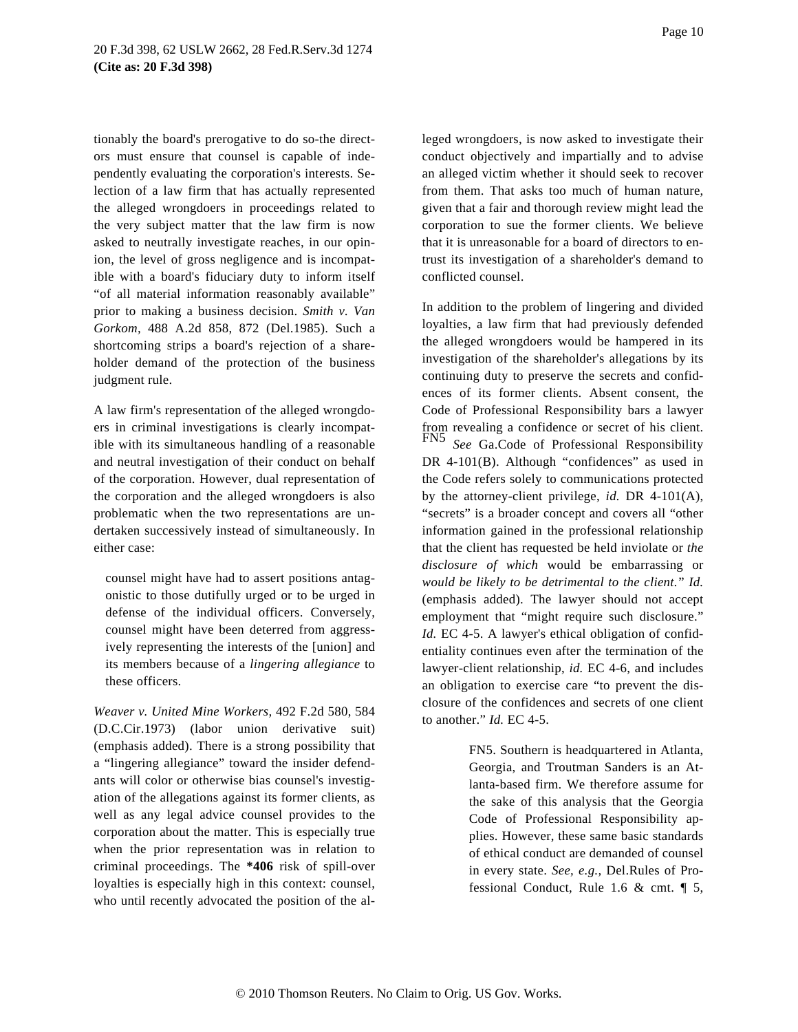tionably the board's prerogative to do so-the directors must ensure that counsel is capable of independently evaluating the corporation's interests. Selection of a law firm that has actually represented the alleged wrongdoers in proceedings related to the very subject matter that the law firm is now asked to neutrally investigate reaches, in our opinion, the level of gross negligence and is incompatible with a board's fiduciary duty to inform itself "of all material information reasonably available" prior to making a business decision. *Smith v. Van Gorkom,* 488 A.2d 858, 872 (Del.1985). Such a shortcoming strips a board's rejection of a shareholder demand of the protection of the business judgment rule.

A law firm's representation of the alleged wrongdoers in criminal investigations is clearly incompatible with its simultaneous handling of a reasonable and neutral investigation of their conduct on behalf of the corporation. However, dual representation of the corporation and the alleged wrongdoers is also problematic when the two representations are undertaken successively instead of simultaneously. In either case:

counsel might have had to assert positions antagonistic to those dutifully urged or to be urged in defense of the individual officers. Conversely, counsel might have been deterred from aggressively representing the interests of the [union] and its members because of a *lingering allegiance* to these officers.

*Weaver v. United Mine Workers,* 492 F.2d 580, 584 (D.C.Cir.1973) (labor union derivative suit) (emphasis added). There is a strong possibility that a "lingering allegiance" toward the insider defendants will color or otherwise bias counsel's investigation of the allegations against its former clients, as well as any legal advice counsel provides to the corporation about the matter. This is especially true when the prior representation was in relation to criminal proceedings. The **\*406** risk of spill-over loyalties is especially high in this context: counsel, who until recently advocated the position of the alleged wrongdoers, is now asked to investigate their conduct objectively and impartially and to advise an alleged victim whether it should seek to recover from them. That asks too much of human nature, given that a fair and thorough review might lead the corporation to sue the former clients. We believe that it is unreasonable for a board of directors to entrust its investigation of a shareholder's demand to

conflicted counsel.

In addition to the problem of lingering and divided loyalties, a law firm that had previously defended the alleged wrongdoers would be hampered in its investigation of the shareholder's allegations by its continuing duty to preserve the secrets and confidences of its former clients. Absent consent, the Code of Professional Responsibility bars a lawyer from revealing a confidence or secret of his client. See Ga.Code of Professional Responsibility DR 4-101(B). Although "confidences" as used in the Code refers solely to communications protected by the attorney-client privilege, *id.* DR 4-101(A), "secrets" is a broader concept and covers all "other information gained in the professional relationship that the client has requested be held inviolate or *the disclosure of which* would be embarrassing or *would be likely to be detrimental to the client.*" *Id.* (emphasis added). The lawyer should not accept employment that "might require such disclosure." *Id.* EC 4-5. A lawyer's ethical obligation of confidentiality continues even after the termination of the lawyer-client relationship, *id.* EC 4-6, and includes an obligation to exercise care "to prevent the disclosure of the confidences and secrets of one client to another." *Id.* EC 4-5.

> FN5. Southern is headquartered in Atlanta, Georgia, and Troutman Sanders is an Atlanta-based firm. We therefore assume for the sake of this analysis that the Georgia Code of Professional Responsibility applies. However, these same basic standards of ethical conduct are demanded of counsel in every state. *See, e.g.,* Del.Rules of Professional Conduct, Rule 1.6 & cmt. ¶ 5,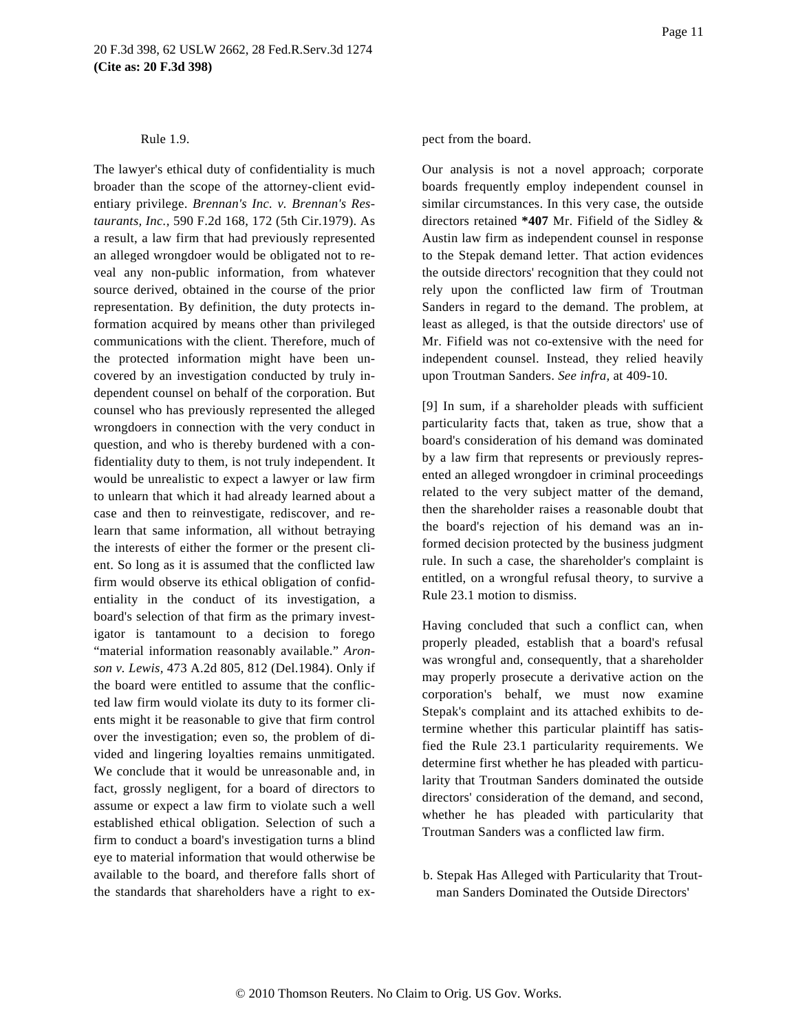#### Rule 1.9.

The lawyer's ethical duty of confidentiality is much broader than the scope of the attorney-client evidentiary privilege. *Brennan's Inc. v. Brennan's Restaurants, Inc.,* 590 F.2d 168, 172 (5th Cir.1979). As a result, a law firm that had previously represented an alleged wrongdoer would be obligated not to reveal any non-public information, from whatever source derived, obtained in the course of the prior representation. By definition, the duty protects information acquired by means other than privileged communications with the client. Therefore, much of the protected information might have been uncovered by an investigation conducted by truly independent counsel on behalf of the corporation. But counsel who has previously represented the alleged wrongdoers in connection with the very conduct in question, and who is thereby burdened with a confidentiality duty to them, is not truly independent. It would be unrealistic to expect a lawyer or law firm to unlearn that which it had already learned about a case and then to reinvestigate, rediscover, and relearn that same information, all without betraying the interests of either the former or the present client. So long as it is assumed that the conflicted law firm would observe its ethical obligation of confidentiality in the conduct of its investigation, a board's selection of that firm as the primary investigator is tantamount to a decision to forego "material information reasonably available." *Aronson v. Lewis,* 473 A.2d 805, 812 (Del.1984). Only if the board were entitled to assume that the conflicted law firm would violate its duty to its former clients might it be reasonable to give that firm control over the investigation; even so, the problem of divided and lingering loyalties remains unmitigated. We conclude that it would be unreasonable and, in fact, grossly negligent, for a board of directors to assume or expect a law firm to violate such a well established ethical obligation. Selection of such a firm to conduct a board's investigation turns a blind eye to material information that would otherwise be available to the board, and therefore falls short of the standards that shareholders have a right to ex-

#### pect from the board.

Our analysis is not a novel approach; corporate boards frequently employ independent counsel in similar circumstances. In this very case, the outside directors retained **\*407** Mr. Fifield of the Sidley & Austin law firm as independent counsel in response to the Stepak demand letter. That action evidences the outside directors' recognition that they could not rely upon the conflicted law firm of Troutman Sanders in regard to the demand. The problem, at least as alleged, is that the outside directors' use of Mr. Fifield was not co-extensive with the need for independent counsel. Instead, they relied heavily upon Troutman Sanders. *See infra,* at 409-10.

[9] In sum, if a shareholder pleads with sufficient particularity facts that, taken as true, show that a board's consideration of his demand was dominated by a law firm that represents or previously represented an alleged wrongdoer in criminal proceedings related to the very subject matter of the demand, then the shareholder raises a reasonable doubt that the board's rejection of his demand was an informed decision protected by the business judgment rule. In such a case, the shareholder's complaint is entitled, on a wrongful refusal theory, to survive a Rule 23.1 motion to dismiss.

Having concluded that such a conflict can, when properly pleaded, establish that a board's refusal was wrongful and, consequently, that a shareholder may properly prosecute a derivative action on the corporation's behalf, we must now examine Stepak's complaint and its attached exhibits to determine whether this particular plaintiff has satisfied the Rule 23.1 particularity requirements. We determine first whether he has pleaded with particularity that Troutman Sanders dominated the outside directors' consideration of the demand, and second, whether he has pleaded with particularity that Troutman Sanders was a conflicted law firm.

b. Stepak Has Alleged with Particularity that Troutman Sanders Dominated the Outside Directors'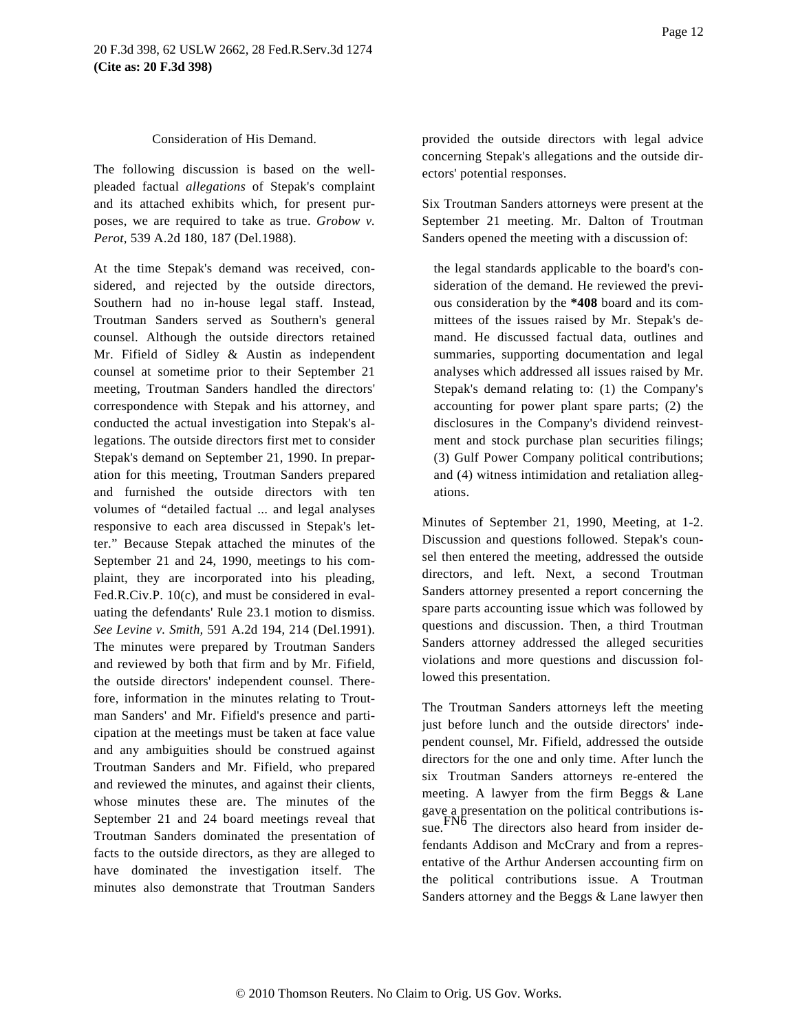#### Consideration of His Demand.

The following discussion is based on the wellpleaded factual *allegations* of Stepak's complaint and its attached exhibits which, for present purposes, we are required to take as true. *Grobow v. Perot,* 539 A.2d 180, 187 (Del.1988).

At the time Stepak's demand was received, considered, and rejected by the outside directors, Southern had no in-house legal staff. Instead, Troutman Sanders served as Southern's general counsel. Although the outside directors retained Mr. Fifield of Sidley & Austin as independent counsel at sometime prior to their September 21 meeting, Troutman Sanders handled the directors' correspondence with Stepak and his attorney, and conducted the actual investigation into Stepak's allegations. The outside directors first met to consider Stepak's demand on September 21, 1990. In preparation for this meeting, Troutman Sanders prepared and furnished the outside directors with ten volumes of "detailed factual ... and legal analyses responsive to each area discussed in Stepak's letter." Because Stepak attached the minutes of the September 21 and 24, 1990, meetings to his complaint, they are incorporated into his pleading, Fed.R.Civ.P. 10(c), and must be considered in evaluating the defendants' Rule 23.1 motion to dismiss. *See Levine v. Smith,* 591 A.2d 194, 214 (Del.1991). The minutes were prepared by Troutman Sanders and reviewed by both that firm and by Mr. Fifield, the outside directors' independent counsel. Therefore, information in the minutes relating to Troutman Sanders' and Mr. Fifield's presence and participation at the meetings must be taken at face value and any ambiguities should be construed against Troutman Sanders and Mr. Fifield, who prepared and reviewed the minutes, and against their clients, whose minutes these are. The minutes of the September 21 and 24 board meetings reveal that Troutman Sanders dominated the presentation of facts to the outside directors, as they are alleged to have dominated the investigation itself. The minutes also demonstrate that Troutman Sanders

provided the outside directors with legal advice concerning Stepak's allegations and the outside directors' potential responses.

Six Troutman Sanders attorneys were present at the September 21 meeting. Mr. Dalton of Troutman Sanders opened the meeting with a discussion of:

the legal standards applicable to the board's consideration of the demand. He reviewed the previous consideration by the **\*408** board and its committees of the issues raised by Mr. Stepak's demand. He discussed factual data, outlines and summaries, supporting documentation and legal analyses which addressed all issues raised by Mr. Stepak's demand relating to: (1) the Company's accounting for power plant spare parts; (2) the disclosures in the Company's dividend reinvestment and stock purchase plan securities filings; (3) Gulf Power Company political contributions; and (4) witness intimidation and retaliation allegations.

Minutes of September 21, 1990, Meeting, at 1-2. Discussion and questions followed. Stepak's counsel then entered the meeting, addressed the outside directors, and left. Next, a second Troutman Sanders attorney presented a report concerning the spare parts accounting issue which was followed by questions and discussion. Then, a third Troutman Sanders attorney addressed the alleged securities violations and more questions and discussion followed this presentation.

The Troutman Sanders attorneys left the meeting just before lunch and the outside directors' independent counsel, Mr. Fifield, addressed the outside directors for the one and only time. After lunch the six Troutman Sanders attorneys re-entered the meeting. A lawyer from the firm Beggs & Lane gave a presentation on the political contributions issue. FN6 The directors also heard from insider defendants Addison and McCrary and from a representative of the Arthur Andersen accounting firm on the political contributions issue. A Troutman Sanders attorney and the Beggs & Lane lawyer then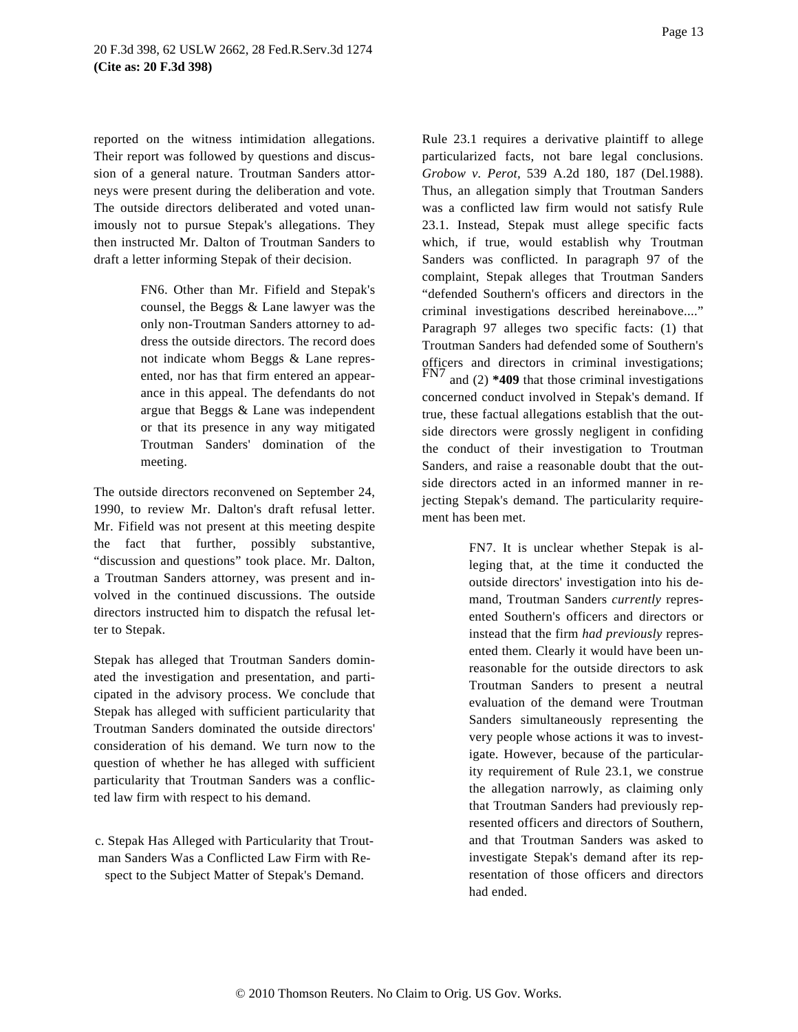reported on the witness intimidation allegations. Their report was followed by questions and discussion of a general nature. Troutman Sanders attorneys were present during the deliberation and vote. The outside directors deliberated and voted unanimously not to pursue Stepak's allegations. They then instructed Mr. Dalton of Troutman Sanders to draft a letter informing Stepak of their decision.

> FN6. Other than Mr. Fifield and Stepak's counsel, the Beggs & Lane lawyer was the only non-Troutman Sanders attorney to address the outside directors. The record does not indicate whom Beggs & Lane represented, nor has that firm entered an appearance in this appeal. The defendants do not argue that Beggs & Lane was independent or that its presence in any way mitigated Troutman Sanders' domination of the meeting.

The outside directors reconvened on September 24, 1990, to review Mr. Dalton's draft refusal letter. Mr. Fifield was not present at this meeting despite the fact that further, possibly substantive, "discussion and questions" took place. Mr. Dalton, a Troutman Sanders attorney, was present and involved in the continued discussions. The outside directors instructed him to dispatch the refusal letter to Stepak.

Stepak has alleged that Troutman Sanders dominated the investigation and presentation, and participated in the advisory process. We conclude that Stepak has alleged with sufficient particularity that Troutman Sanders dominated the outside directors' consideration of his demand. We turn now to the question of whether he has alleged with sufficient particularity that Troutman Sanders was a conflicted law firm with respect to his demand.

c. Stepak Has Alleged with Particularity that Troutman Sanders Was a Conflicted Law Firm with Respect to the Subject Matter of Stepak's Demand.

Rule 23.1 requires a derivative plaintiff to allege particularized facts, not bare legal conclusions. *Grobow v. Perot,* 539 A.2d 180, 187 (Del.1988). Thus, an allegation simply that Troutman Sanders was a conflicted law firm would not satisfy Rule 23.1. Instead, Stepak must allege specific facts which, if true, would establish why Troutman Sanders was conflicted. In paragraph 97 of the complaint, Stepak alleges that Troutman Sanders "defended Southern's officers and directors in the criminal investigations described hereinabove...." Paragraph 97 alleges two specific facts: (1) that Troutman Sanders had defended some of Southern's officers and directors in criminal investigations;<br> $FN7$  and  $(2)$  \*400 if and  $(2)$  \*409 that those criminal investigations concerned conduct involved in Stepak's demand. If true, these factual allegations establish that the outside directors were grossly negligent in confiding the conduct of their investigation to Troutman Sanders, and raise a reasonable doubt that the outside directors acted in an informed manner in rejecting Stepak's demand. The particularity requirement has been met.

> FN7. It is unclear whether Stepak is alleging that, at the time it conducted the outside directors' investigation into his demand, Troutman Sanders *currently* represented Southern's officers and directors or instead that the firm *had previously* represented them. Clearly it would have been unreasonable for the outside directors to ask Troutman Sanders to present a neutral evaluation of the demand were Troutman Sanders simultaneously representing the very people whose actions it was to investigate. However, because of the particularity requirement of Rule 23.1, we construe the allegation narrowly, as claiming only that Troutman Sanders had previously represented officers and directors of Southern, and that Troutman Sanders was asked to investigate Stepak's demand after its representation of those officers and directors had ended.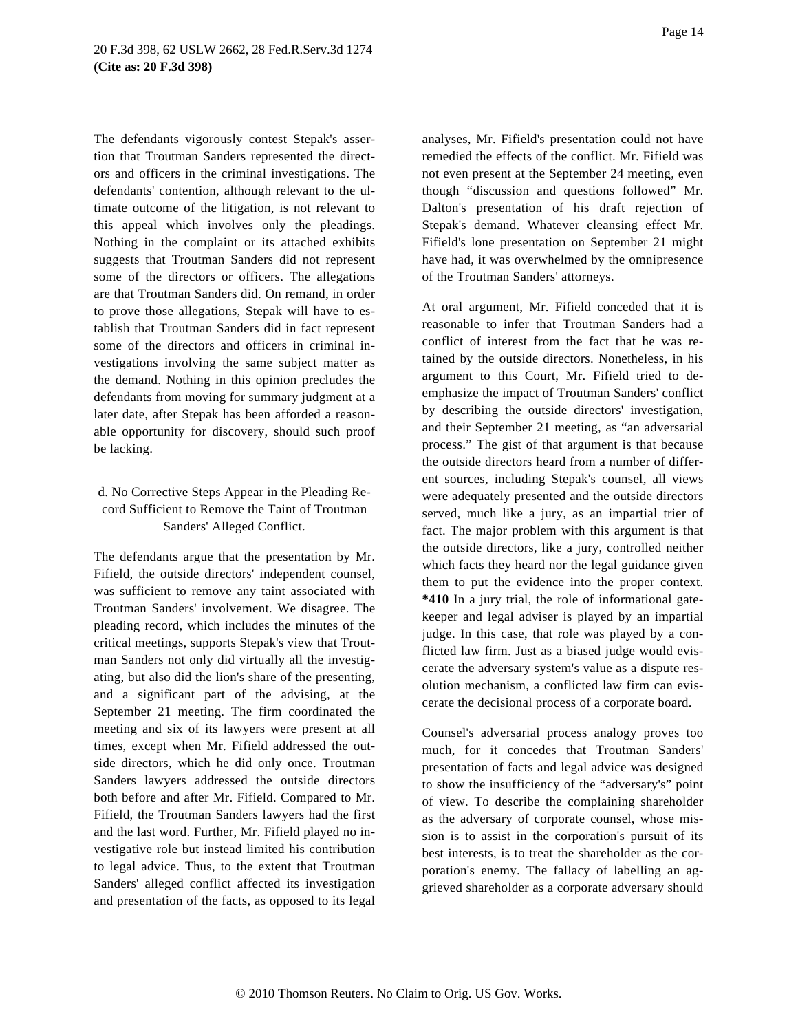The defendants vigorously contest Stepak's assertion that Troutman Sanders represented the directors and officers in the criminal investigations. The defendants' contention, although relevant to the ultimate outcome of the litigation, is not relevant to this appeal which involves only the pleadings. Nothing in the complaint or its attached exhibits suggests that Troutman Sanders did not represent some of the directors or officers. The allegations are that Troutman Sanders did. On remand, in order to prove those allegations, Stepak will have to establish that Troutman Sanders did in fact represent some of the directors and officers in criminal investigations involving the same subject matter as the demand. Nothing in this opinion precludes the defendants from moving for summary judgment at a later date, after Stepak has been afforded a reasonable opportunity for discovery, should such proof be lacking.

# d. No Corrective Steps Appear in the Pleading Record Sufficient to Remove the Taint of Troutman Sanders' Alleged Conflict.

The defendants argue that the presentation by Mr. Fifield, the outside directors' independent counsel, was sufficient to remove any taint associated with Troutman Sanders' involvement. We disagree. The pleading record, which includes the minutes of the critical meetings, supports Stepak's view that Troutman Sanders not only did virtually all the investigating, but also did the lion's share of the presenting, and a significant part of the advising, at the September 21 meeting. The firm coordinated the meeting and six of its lawyers were present at all times, except when Mr. Fifield addressed the outside directors, which he did only once. Troutman Sanders lawyers addressed the outside directors both before and after Mr. Fifield. Compared to Mr. Fifield, the Troutman Sanders lawyers had the first and the last word. Further, Mr. Fifield played no investigative role but instead limited his contribution to legal advice. Thus, to the extent that Troutman Sanders' alleged conflict affected its investigation and presentation of the facts, as opposed to its legal

analyses, Mr. Fifield's presentation could not have remedied the effects of the conflict. Mr. Fifield was not even present at the September 24 meeting, even though "discussion and questions followed" Mr. Dalton's presentation of his draft rejection of Stepak's demand. Whatever cleansing effect Mr. Fifield's lone presentation on September 21 might have had, it was overwhelmed by the omnipresence of the Troutman Sanders' attorneys.

At oral argument, Mr. Fifield conceded that it is reasonable to infer that Troutman Sanders had a conflict of interest from the fact that he was retained by the outside directors. Nonetheless, in his argument to this Court, Mr. Fifield tried to deemphasize the impact of Troutman Sanders' conflict by describing the outside directors' investigation, and their September 21 meeting, as "an adversarial process." The gist of that argument is that because the outside directors heard from a number of different sources, including Stepak's counsel, all views were adequately presented and the outside directors served, much like a jury, as an impartial trier of fact. The major problem with this argument is that the outside directors, like a jury, controlled neither which facts they heard nor the legal guidance given them to put the evidence into the proper context. **\*410** In a jury trial, the role of informational gatekeeper and legal adviser is played by an impartial judge. In this case, that role was played by a conflicted law firm. Just as a biased judge would eviscerate the adversary system's value as a dispute resolution mechanism, a conflicted law firm can eviscerate the decisional process of a corporate board.

Counsel's adversarial process analogy proves too much, for it concedes that Troutman Sanders' presentation of facts and legal advice was designed to show the insufficiency of the "adversary's" point of view. To describe the complaining shareholder as the adversary of corporate counsel, whose mission is to assist in the corporation's pursuit of its best interests, is to treat the shareholder as the corporation's enemy. The fallacy of labelling an aggrieved shareholder as a corporate adversary should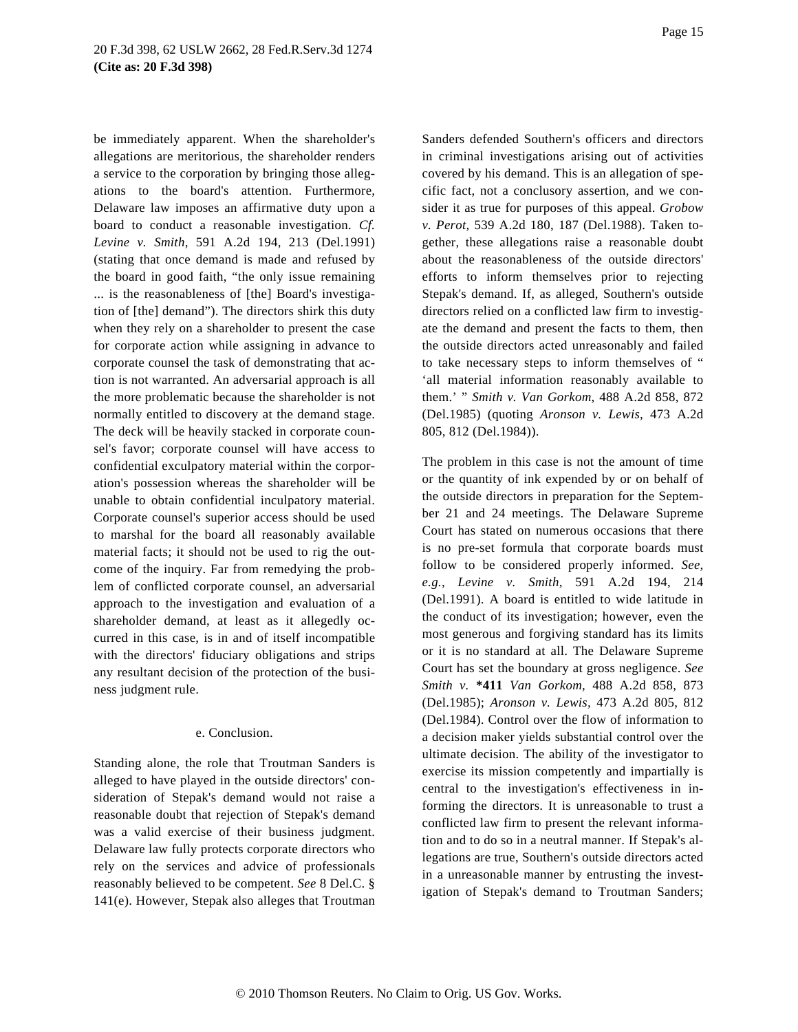be immediately apparent. When the shareholder's allegations are meritorious, the shareholder renders a service to the corporation by bringing those allegations to the board's attention. Furthermore, Delaware law imposes an affirmative duty upon a board to conduct a reasonable investigation. *Cf. Levine v. Smith,* 591 A.2d 194, 213 (Del.1991) (stating that once demand is made and refused by the board in good faith, "the only issue remaining ... is the reasonableness of [the] Board's investigation of [the] demand"). The directors shirk this duty when they rely on a shareholder to present the case for corporate action while assigning in advance to corporate counsel the task of demonstrating that action is not warranted. An adversarial approach is all the more problematic because the shareholder is not normally entitled to discovery at the demand stage. The deck will be heavily stacked in corporate counsel's favor; corporate counsel will have access to confidential exculpatory material within the corporation's possession whereas the shareholder will be unable to obtain confidential inculpatory material. Corporate counsel's superior access should be used to marshal for the board all reasonably available material facts; it should not be used to rig the outcome of the inquiry. Far from remedying the problem of conflicted corporate counsel, an adversarial approach to the investigation and evaluation of a shareholder demand, at least as it allegedly occurred in this case, is in and of itself incompatible with the directors' fiduciary obligations and strips any resultant decision of the protection of the business judgment rule.

#### e. Conclusion.

Standing alone, the role that Troutman Sanders is alleged to have played in the outside directors' consideration of Stepak's demand would not raise a reasonable doubt that rejection of Stepak's demand was a valid exercise of their business judgment. Delaware law fully protects corporate directors who rely on the services and advice of professionals reasonably believed to be competent. *See* 8 Del.C. § 141(e). However, Stepak also alleges that Troutman Sanders defended Southern's officers and directors in criminal investigations arising out of activities covered by his demand. This is an allegation of specific fact, not a conclusory assertion, and we consider it as true for purposes of this appeal. *Grobow v. Perot,* 539 A.2d 180, 187 (Del.1988). Taken together, these allegations raise a reasonable doubt about the reasonableness of the outside directors' efforts to inform themselves prior to rejecting Stepak's demand. If, as alleged, Southern's outside directors relied on a conflicted law firm to investigate the demand and present the facts to them, then the outside directors acted unreasonably and failed to take necessary steps to inform themselves of " 'all material information reasonably available to them.' " *Smith v. Van Gorkom,* 488 A.2d 858, 872 (Del.1985) (quoting *Aronson v. Lewis,* 473 A.2d 805, 812 (Del.1984)).

The problem in this case is not the amount of time or the quantity of ink expended by or on behalf of the outside directors in preparation for the September 21 and 24 meetings. The Delaware Supreme Court has stated on numerous occasions that there is no pre-set formula that corporate boards must follow to be considered properly informed. *See, e.g., Levine v. Smith,* 591 A.2d 194, 214 (Del.1991). A board is entitled to wide latitude in the conduct of its investigation; however, even the most generous and forgiving standard has its limits or it is no standard at all. The Delaware Supreme Court has set the boundary at gross negligence. *See Smith v.* **\*411** *Van Gorkom,* 488 A.2d 858, 873 (Del.1985); *Aronson v. Lewis,* 473 A.2d 805, 812 (Del.1984). Control over the flow of information to a decision maker yields substantial control over the ultimate decision. The ability of the investigator to exercise its mission competently and impartially is central to the investigation's effectiveness in informing the directors. It is unreasonable to trust a conflicted law firm to present the relevant information and to do so in a neutral manner. If Stepak's allegations are true, Southern's outside directors acted in a unreasonable manner by entrusting the investigation of Stepak's demand to Troutman Sanders;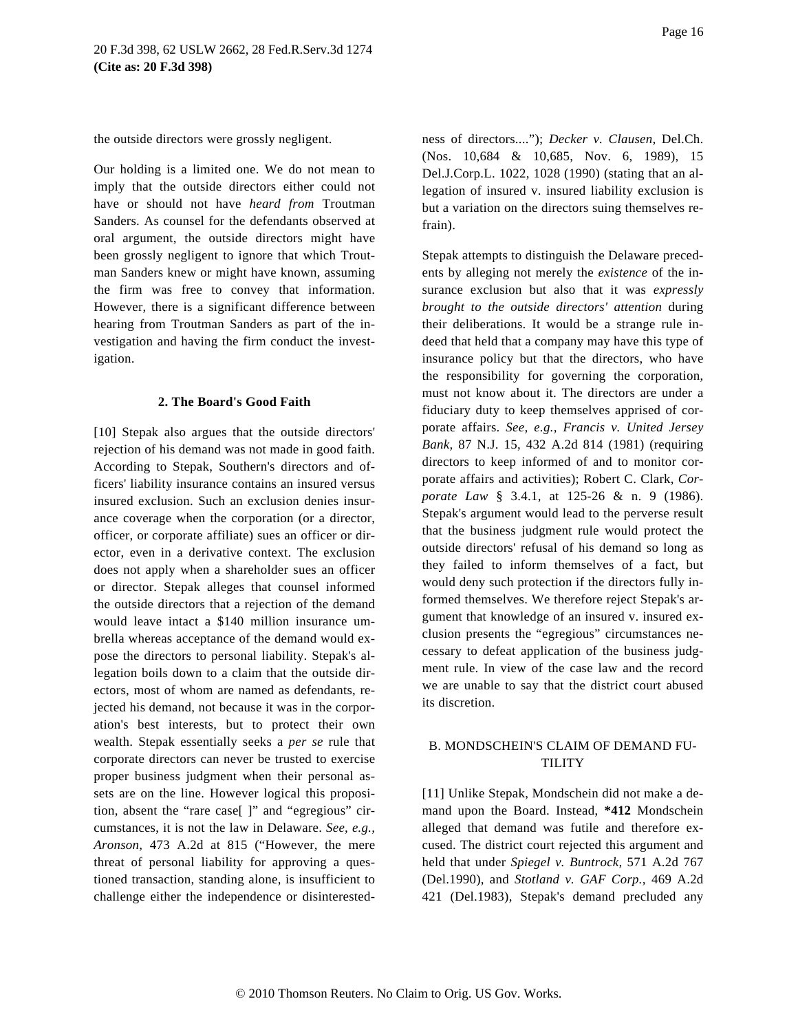the outside directors were grossly negligent.

Our holding is a limited one. We do not mean to imply that the outside directors either could not have or should not have *heard from* Troutman Sanders. As counsel for the defendants observed at oral argument, the outside directors might have been grossly negligent to ignore that which Troutman Sanders knew or might have known, assuming the firm was free to convey that information. However, there is a significant difference between hearing from Troutman Sanders as part of the investigation and having the firm conduct the investigation.

#### **2. The Board's Good Faith**

[10] Stepak also argues that the outside directors' rejection of his demand was not made in good faith. According to Stepak, Southern's directors and officers' liability insurance contains an insured versus insured exclusion. Such an exclusion denies insurance coverage when the corporation (or a director, officer, or corporate affiliate) sues an officer or director, even in a derivative context. The exclusion does not apply when a shareholder sues an officer or director. Stepak alleges that counsel informed the outside directors that a rejection of the demand would leave intact a \$140 million insurance umbrella whereas acceptance of the demand would expose the directors to personal liability. Stepak's allegation boils down to a claim that the outside directors, most of whom are named as defendants, rejected his demand, not because it was in the corporation's best interests, but to protect their own wealth. Stepak essentially seeks a *per se* rule that corporate directors can never be trusted to exercise proper business judgment when their personal assets are on the line. However logical this proposition, absent the "rare case[ ]" and "egregious" circumstances, it is not the law in Delaware. *See, e.g., Aronson,* 473 A.2d at 815 ("However, the mere threat of personal liability for approving a questioned transaction, standing alone, is insufficient to challenge either the independence or disinterestedness of directors...."); *Decker v. Clausen,* Del.Ch. (Nos. 10,684 & 10,685, Nov. 6, 1989), 15 Del.J.Corp.L. 1022, 1028 (1990) (stating that an allegation of insured v. insured liability exclusion is but a variation on the directors suing themselves refrain).

Stepak attempts to distinguish the Delaware precedents by alleging not merely the *existence* of the insurance exclusion but also that it was *expressly brought to the outside directors' attention* during their deliberations. It would be a strange rule indeed that held that a company may have this type of insurance policy but that the directors, who have the responsibility for governing the corporation, must not know about it. The directors are under a fiduciary duty to keep themselves apprised of corporate affairs. *See, e.g., Francis v. United Jersey Bank,* 87 N.J. 15, 432 A.2d 814 (1981) (requiring directors to keep informed of and to monitor corporate affairs and activities); Robert C. Clark, *Corporate Law* § 3.4.1, at 125-26 & n. 9 (1986). Stepak's argument would lead to the perverse result that the business judgment rule would protect the outside directors' refusal of his demand so long as they failed to inform themselves of a fact, but would deny such protection if the directors fully informed themselves. We therefore reject Stepak's argument that knowledge of an insured v. insured exclusion presents the "egregious" circumstances necessary to defeat application of the business judgment rule. In view of the case law and the record we are unable to say that the district court abused its discretion.

### B. MONDSCHEIN'S CLAIM OF DEMAND FU-**TILITY**

[11] Unlike Stepak, Mondschein did not make a demand upon the Board. Instead, **\*412** Mondschein alleged that demand was futile and therefore excused. The district court rejected this argument and held that under *Spiegel v. Buntrock,* 571 A.2d 767 (Del.1990), and *Stotland v. GAF Corp.,* 469 A.2d 421 (Del.1983), Stepak's demand precluded any